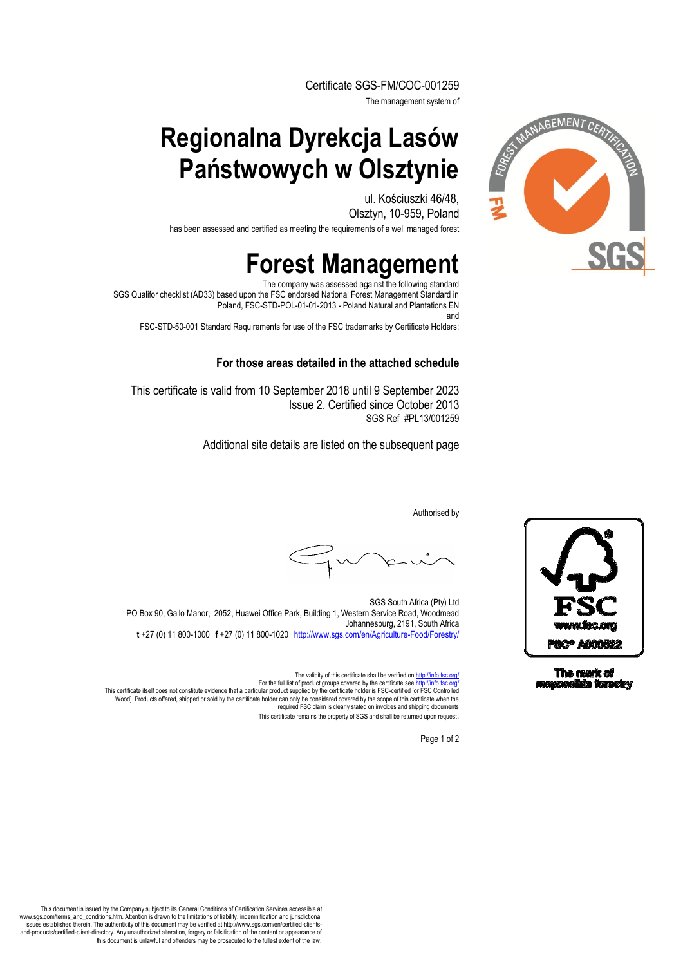Certificate SGS-FM/COC-001259

The management system of

## **Regionalna Dyrekcja Lasów Państwowych w Olsztynie**

ul. Kościuszki 46/48, Olsztyn, 10-959, Poland

has been assessed and certified as meeting the requirements of a well managed forest

# **Forest Management**

The company was assessed against the following standard SGS Qualifor checklist (AD33) based upon the FSC endorsed National Forest Management Standard in Poland, FSC-STD-POL-01-01-2013 - Poland Natural and Plantations EN and

FSC-STD-50-001 Standard Requirements for use of the FSC trademarks by Certificate Holders:

#### **For those areas detailed in the attached schedule**

This certificate is valid from 10 September 2018 until 9 September 2023 Issue 2. Certified since October 2013 SGS Ref #PL13/001259

Additional site details are listed on the subsequent page

Authorised by

SGS South Africa (Pty) Ltd PO Box 90, Gallo Manor, 2052, Huawei Office Park, Building 1, Western Service Road, Woodmead Johannesburg, 2191, South Africa **t** +27 (0) 11 800-1000□**f** +27 (0) 11 800-1020□http://www.sgs.com/en/Agriculture-Food/Forestry/

The validity of this certificate shall be verified on http://info.fsc.org/ For the full list of product groups covered by the certificate see <u>http://info.fsc.org/</u><br>This certificate itself does not constitute evidence that a particular product supplied by the certificate holder is FSC-certified [ required FSC claim is clearly stated on invoices and shipping documents This certificate remains the property of SGS and shall be returned upon request.

Page 1 of 2





This document is issued by the Company subject to its General Conditions of Certification Services accessible at www.sgs.com/terms\_and\_conditions.htm. Attention is drawn to the limitations of liability, indemnification and jurisdictional<br>-issues established therein. The authenticity of this document may be verified at http://www.sgs. and-products/certified-client-directory. Any unauthorized alteration, forgery or falsification of the content or appearance of this document is unlawful and offenders may be prosecuted to the fullest extent of the law.